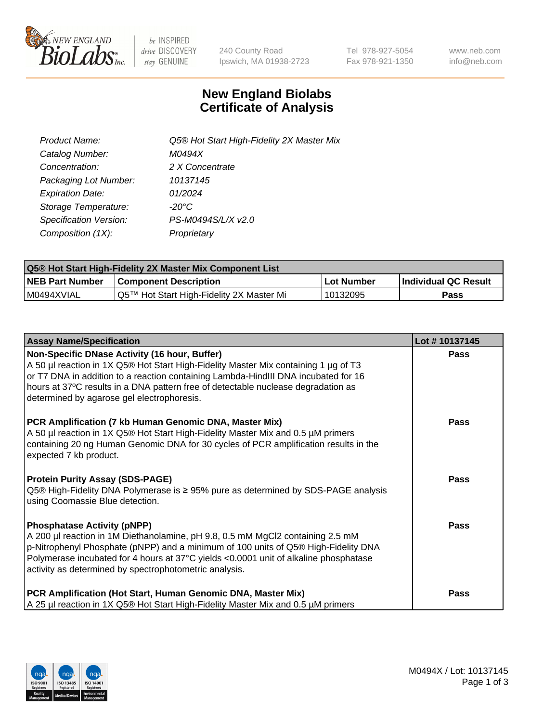

 $be$  INSPIRED drive DISCOVERY stay GENUINE

240 County Road Ipswich, MA 01938-2723 Tel 978-927-5054 Fax 978-921-1350 www.neb.com info@neb.com

## **New England Biolabs Certificate of Analysis**

| Product Name:           | Q5® Hot Start High-Fidelity 2X Master Mix |
|-------------------------|-------------------------------------------|
| Catalog Number:         | M0494X                                    |
| Concentration:          | 2 X Concentrate                           |
| Packaging Lot Number:   | 10137145                                  |
| <b>Expiration Date:</b> | 01/2024                                   |
| Storage Temperature:    | -20°C                                     |
| Specification Version:  | PS-M0494S/L/X v2.0                        |
| Composition (1X):       | Proprietary                               |

| <b>Q5® Hot Start High-Fidelity 2X Master Mix Component List</b> |                                          |             |                      |  |  |
|-----------------------------------------------------------------|------------------------------------------|-------------|----------------------|--|--|
| <b>NEB Part Number</b>                                          | Component Description_                   | ∣Lot Number | Individual QC Result |  |  |
| IM0494XVIAL                                                     | Q5™ Hot Start High-Fidelity 2X Master Mi | 10132095    | Pass                 |  |  |

| <b>Assay Name/Specification</b>                                                                                                                                                                                                                                                                                                                               | Lot #10137145 |
|---------------------------------------------------------------------------------------------------------------------------------------------------------------------------------------------------------------------------------------------------------------------------------------------------------------------------------------------------------------|---------------|
| Non-Specific DNase Activity (16 hour, Buffer)<br>A 50 µl reaction in 1X Q5® Hot Start High-Fidelity Master Mix containing 1 µg of T3<br>or T7 DNA in addition to a reaction containing Lambda-HindIII DNA incubated for 16<br>hours at 37°C results in a DNA pattern free of detectable nuclease degradation as<br>determined by agarose gel electrophoresis. | <b>Pass</b>   |
| PCR Amplification (7 kb Human Genomic DNA, Master Mix)<br>A 50 µl reaction in 1X Q5® Hot Start High-Fidelity Master Mix and 0.5 µM primers<br>containing 20 ng Human Genomic DNA for 30 cycles of PCR amplification results in the<br>expected 7 kb product.                                                                                                  | Pass          |
| <b>Protein Purity Assay (SDS-PAGE)</b><br>Q5® High-Fidelity DNA Polymerase is ≥ 95% pure as determined by SDS-PAGE analysis<br>using Coomassie Blue detection.                                                                                                                                                                                                | <b>Pass</b>   |
| <b>Phosphatase Activity (pNPP)</b><br>A 200 µl reaction in 1M Diethanolamine, pH 9.8, 0.5 mM MgCl2 containing 2.5 mM<br>p-Nitrophenyl Phosphate (pNPP) and a minimum of 100 units of Q5® High-Fidelity DNA<br>Polymerase incubated for 4 hours at 37°C yields <0.0001 unit of alkaline phosphatase<br>activity as determined by spectrophotometric analysis.  | <b>Pass</b>   |
| PCR Amplification (Hot Start, Human Genomic DNA, Master Mix)<br>A 25 µl reaction in 1X Q5® Hot Start High-Fidelity Master Mix and 0.5 µM primers                                                                                                                                                                                                              | Pass          |

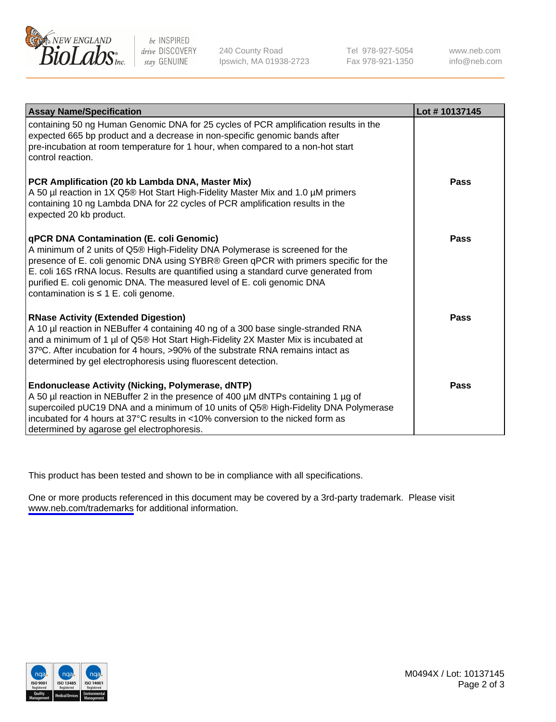

be INSPIRED drive DISCOVERY stay GENUINE

240 County Road Ipswich, MA 01938-2723 Tel 978-927-5054 Fax 978-921-1350

www.neb.com info@neb.com

| <b>Assay Name/Specification</b>                                                                                                                                                                                                                                                                                                                                                                                                    | Lot #10137145 |
|------------------------------------------------------------------------------------------------------------------------------------------------------------------------------------------------------------------------------------------------------------------------------------------------------------------------------------------------------------------------------------------------------------------------------------|---------------|
| containing 50 ng Human Genomic DNA for 25 cycles of PCR amplification results in the<br>expected 665 bp product and a decrease in non-specific genomic bands after<br>pre-incubation at room temperature for 1 hour, when compared to a non-hot start<br>control reaction.                                                                                                                                                         |               |
| PCR Amplification (20 kb Lambda DNA, Master Mix)<br>A 50 µl reaction in 1X Q5® Hot Start High-Fidelity Master Mix and 1.0 µM primers<br>containing 10 ng Lambda DNA for 22 cycles of PCR amplification results in the<br>expected 20 kb product.                                                                                                                                                                                   | Pass          |
| <b>qPCR DNA Contamination (E. coli Genomic)</b><br>A minimum of 2 units of Q5® High-Fidelity DNA Polymerase is screened for the<br>presence of E. coli genomic DNA using SYBR® Green qPCR with primers specific for the<br>E. coli 16S rRNA locus. Results are quantified using a standard curve generated from<br>purified E. coli genomic DNA. The measured level of E. coli genomic DNA<br>contamination is ≤ 1 E. coli genome. | Pass          |
| <b>RNase Activity (Extended Digestion)</b><br>A 10 µl reaction in NEBuffer 4 containing 40 ng of a 300 base single-stranded RNA<br>and a minimum of 1 µl of Q5® Hot Start High-Fidelity 2X Master Mix is incubated at<br>37°C. After incubation for 4 hours, >90% of the substrate RNA remains intact as<br>determined by gel electrophoresis using fluorescent detection.                                                         | Pass          |
| <b>Endonuclease Activity (Nicking, Polymerase, dNTP)</b><br>A 50 µl reaction in NEBuffer 2 in the presence of 400 µM dNTPs containing 1 µg of<br>supercoiled pUC19 DNA and a minimum of 10 units of Q5® High-Fidelity DNA Polymerase<br>incubated for 4 hours at 37°C results in <10% conversion to the nicked form as<br>determined by agarose gel electrophoresis.                                                               | Pass          |

This product has been tested and shown to be in compliance with all specifications.

One or more products referenced in this document may be covered by a 3rd-party trademark. Please visit <www.neb.com/trademarks>for additional information.